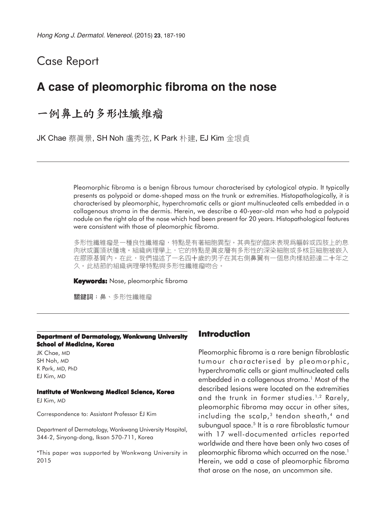## Case Report

## **A case of pleomorphic fibroma on the nose**

# 一例鼻上的多形性纖維瘤

JK Chae 蔡眞景, SH Noh 盧秀弦, K Park 朴建, EJ Kim 金垠貞

Pleomorphic fibroma is a benign fibrous tumour characterised by cytological atypia. It typically presents as polypoid or dome-shaped mass on the trunk or extremities. Histopathologically, it is characterised by pleomorphic, hyperchromatic cells or giant multinucleated cells embedded in a collagenous stroma in the dermis. Herein, we describe a 40-year-old man who had a polypoid nodule on the right ala of the nose which had been present for 20 years. Histopathological features were consistent with those of pleomorphic fibroma.

多形性纖維瘤是一種良性纖維瘤,特點是有著細胞異型。其典型的臨床表現爲軀幹或四肢上的息 肉狀或圓頂狀腫塊。組織病理學上,它的特點是眞皮層有多形性的深染細胞或多核巨細胞被嵌入 在膠原基質內。在此,我們描述了一名四十歲的男子在其右側鼻翼有一個息肉樣結節達二十年之 久。此結節的組織病理學特點與多形性纖維瘤吻合。

**Keywords:** Nose, pleomorphic fibroma

關鍵詞:鼻、多形性纖維瘤

#### **Department of Dermatology, Wonkwang University School of Medicine, Korea**

JK Chae, MD SH Noh, MD K Park, MD, PhD EJ Kim, MD

#### **Institute of Wonkwang Medical Science, Korea**

EJ Kim, MD

Correspondence to: Assistant Professor EJ Kim

Department of Dermatology, Wonkwang University Hospital, 344-2, Sinyong-dong, Iksan 570-711, Korea

\*This paper was supported by Wonkwang University in 2015

### **Introduction**

Pleomorphic fibroma is a rare benign fibroblastic tumour characterised by pleomorphic, hyperchromatic cells or giant multinucleated cells embedded in a collagenous stroma.<sup>1</sup> Most of the described lesions were located on the extremities and the trunk in former studies.<sup>1,2</sup> Rarely, pleomorphic fibroma may occur in other sites, including the scalp, $3$  tendon sheath, $4$  and subungual space.<sup>5</sup> It is a rare fibroblastic tumour with 17 well-documented articles reported worldwide and there have been only two cases of pleomorphic fibroma which occurred on the nose.<sup>1</sup> Herein, we add a case of pleomorphic fibroma that arose on the nose, an uncommon site.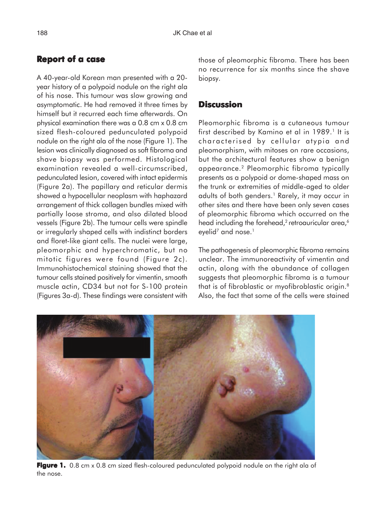## **Report of a case**

A 40-year-old Korean man presented with a 20 year history of a polypoid nodule on the right ala of his nose. This tumour was slow growing and asymptomatic. He had removed it three times by himself but it recurred each time afterwards. On physical examination there was a 0.8 cm x 0.8 cm sized flesh-coloured pedunculated polypoid nodule on the right ala of the nose (Figure 1). The lesion was clinically diagnosed as soft fibroma and shave biopsy was performed. Histological examination revealed a well-circumscribed, pedunculated lesion, covered with intact epidermis (Figure 2a). The papillary and reticular dermis showed a hypocellular neoplasm with haphazard arrangement of thick collagen bundles mixed with partially loose stroma, and also dilated blood vessels (Figure 2b). The tumour cells were spindle or irregularly shaped cells with indistinct borders and floret-like giant cells. The nuclei were large, pleomorphic and hyperchromatic, but no mitotic figures were found (Figure 2c). Immunohistochemical staining showed that the tumour cells stained positively for vimentin, smooth muscle actin, CD34 but not for S-100 protein (Figures 3a-d). These findings were consistent with

those of pleomorphic fibroma. There has been no recurrence for six months since the shave biopsy.

### **Discussion**

Pleomorphic fibroma is a cutaneous tumour first described by Kamino et al in 1989.<sup>1</sup> It is characterised by cellular atypia and pleomorphism, with mitoses on rare occasions, but the architectural features show a benign appearance.2 Pleomorphic fibroma typically presents as a polypoid or dome-shaped mass on the trunk or extremities of middle-aged to older adults of both genders.<sup>1</sup> Rarely, it may occur in other sites and there have been only seven cases of pleomorphic fibroma which occurred on the head including the forehead,<sup>2</sup> retroauricular area,<sup>6</sup> eyelid<sup>7</sup> and nose.<sup>1</sup>

The pathogenesis of pleomorphic fibroma remains unclear. The immunoreactivity of vimentin and actin, along with the abundance of collagen suggests that pleomorphic fibroma is a tumour that is of fibroblastic or myofibroblastic origin.8 Also, the fact that some of the cells were stained



**Figure 1.** 0.8 cm x 0.8 cm sized flesh-coloured pedunculated polypoid nodule on the right ala of the nose.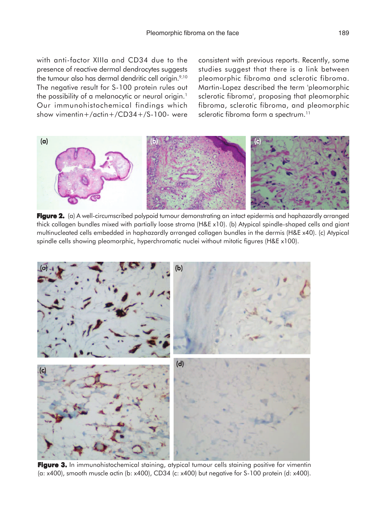with anti-factor XIIIa and CD34 due to the presence of reactive dermal dendrocytes suggests the tumour also has dermal dendritic cell origin.<sup>9,10</sup> The negative result for S-100 protein rules out the possibility of a melanocytic or neural origin.<sup>1</sup> Our immunohistochemical findings which show vimentin+/actin+/CD34+/S-100- were

consistent with previous reports. Recently, some studies suggest that there is a link between pleomorphic fibroma and sclerotic fibroma. Martin-Lopez described the term 'pleomorphic sclerotic fibroma', proposing that pleomorphic fibroma, sclerotic fibroma, and pleomorphic sclerotic fibroma form a spectrum.<sup>11</sup>



Figure 2. (a) A well-circumscribed polypoid tumour demonstrating an intact epidermis and haphazardly arranged thick collagen bundles mixed with partially loose stroma (H&E x10). (b) Atypical spindle-shaped cells and giant multinucleated cells embedded in haphazardly arranged collagen bundles in the dermis (H&E x40). (c) Atypical spindle cells showing pleomorphic, hyperchromatic nuclei without mitotic figures (H&E x100).



**Figure 3.** In immunohistochemical staining, atypical tumour cells staining positive for vimentin (a: x400), smooth muscle actin (b: x400), CD34 (c: x400) but negative for S-100 protein (d: x400).